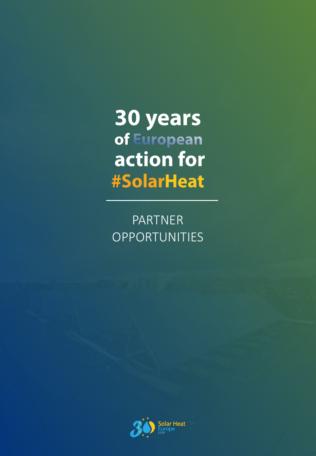# **30 years**<br>of European action for **#SolarHeat**

PARTNER OPPORTUNITIES

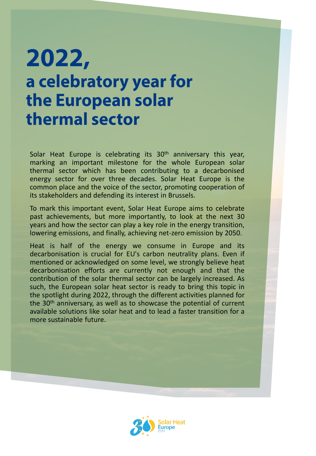## 2022, a celebratory year for the European solar thermal sector

Solar Heat Europe is celebrating its 30<sup>th</sup> anniversary this year, marking an important milestone for the whole European solar thermal sector which has been contributing to a decarbonised energy sector for over three decades. Solar Heat Europe is the common place and the voice of the sector, promoting cooperation of its stakeholders and defending its interest in Brussels.

To mark this important event, Solar Heat Europe aims to celebrate past achievements, but more importantly, to look at the next 30 years and how the sector can play a key role in the energy transition, lowering emissions, and finally, achieving net-zero emission by 2050.

Heat is half of the energy we consume in Europe and its decarbonisation is crucial for EU's carbon neutrality plans. Even if mentioned or acknowledged on some level, we strongly believe heat decarbonisation efforts are currently not enough and that the contribution of the solar thermal sector can be largely increased. As such, the European solar heat sector is ready to bring this topic in the spotlight during 2022, through the different activities planned for the 30<sup>th</sup> anniversary, as well as to showcase the potential of current available solutions like solar heat and to lead a faster transition for a more sustainable future.

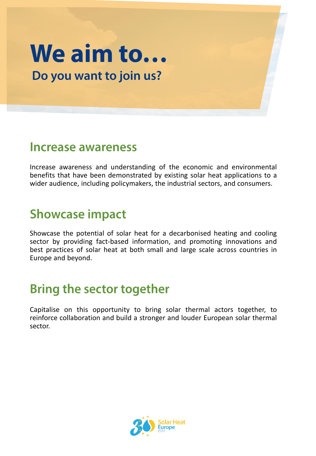## We aim to... Do you want to join us?

#### Increase awareness

Increase awareness and understanding of the economic and environmental benefits that have been demonstrated by existing solar heat applications to a wider audience, including policymakers, the industrial sectors, and consumers.

#### **Showcase impact**

Showcase the potential of solar heat for a decarbonised heating and cooling sector by providing fact-based information, and promoting innovations and best practices of solar heat at both small and large scale across countries in Europe and beyond.

### **Bring the sector together**

Capitalise on this opportunity to bring solar thermal actors together, to reinforce collaboration and build a stronger and louder European solar thermal sector.

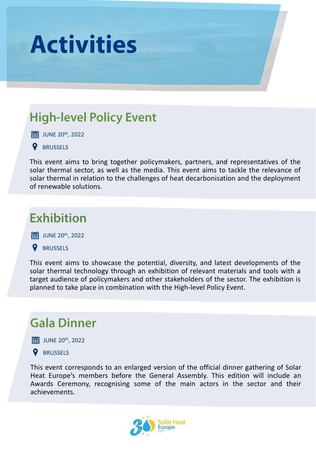

### **High-level Policy Event**

JUNE 20th , 2022

#### **BRUSSELS**

This event aims to bring together policymakers, partners, and representatives of the solar thermal sector, as well as the media. This event aims to tackle the relevance of solar thermal in relation to the challenges of heat decarbonisation and the deployment of renewable solutions.

#### **Exhibition**

JUNE 20th , 2022

#### **Q** BRUSSELS

This event aims to showcase the potential, diversity, and latest developments of the solar thermal technology through an exhibition of relevant materials and tools with a target audience of policymakers and other stakeholders of the sector. The exhibition is planned to take place in combination with the High-level Policy Event.

#### **Gala Dinner**

JUNE 20th , 2022



This event corresponds to an enlarged version of the official dinner gathering of Solar Heat Europe's members before the General Assembly. This edition will include an Awards Ceremony, recognising some of the main actors in the sector and their achievements.

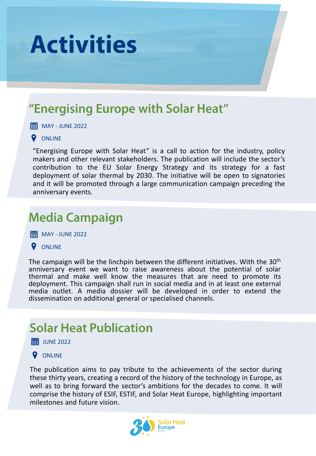

### "Energising Europe with Solar Heat"

**H**MAY - JUNE 2022

#### **Q** ONLINE

"Energising Europe with Solar Heat" is a call to action for the industry, policy makers and other relevant stakeholders. The publication will include the sector's contribution to the EU Solar Energy Strategy and its strategy for a fast deployment of solar thermal by 2030. The initiative will be open to signatories and it will be promoted through a large communication campaign preceding the anniversary events.

### **Media Campaign**

**HE MAY - JUNE 2022** 

**Q** ONLINE

The campaign will be the linchpin between the different initiatives. With the  $30<sup>th</sup>$ anniversary event we want to raise awareness about the potential of solar thermal and make well know the measures that are need to promote its deployment. This campaign shall run in social media and in at least one external media outlet. A media dossier will be developed in order to extend the dissemination on additional general or specialised channels.

### **Solar Heat Publication**

 **iii** JUNE 2022

#### **Q** ONLINE

The publication aims to pay tribute to the achievements of the sector during these thirty years, creating a record of the history of the technology in Europe, as well as to bring forward the sector's ambitions for the decades to come. It will comprise the history of ESIF, ESTIF, and Solar Heat Europe, highlighting important milestones and future vision.

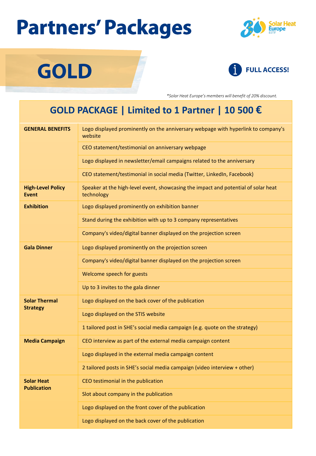# **Partners' Packages**

**GOLD** 





*\*Solar Heat Europe's members will benefit of 20% discount.*

#### **GOLD PACKAGE | Limited to 1 Partner | 10 500 €**

| <b>GENERAL BENEFITS</b>                  | Logo displayed prominently on the anniversary webpage with hyperlink to company's<br>website     |  |
|------------------------------------------|--------------------------------------------------------------------------------------------------|--|
|                                          | CEO statement/testimonial on anniversary webpage                                                 |  |
|                                          | Logo displayed in newsletter/email campaigns related to the anniversary                          |  |
|                                          | CEO statement/testimonial in social media (Twitter, LinkedIn, Facebook)                          |  |
| <b>High-Level Policy</b><br><b>Event</b> | Speaker at the high-level event, showcasing the impact and potential of solar heat<br>technology |  |
| <b>Exhibition</b>                        | Logo displayed prominently on exhibition banner                                                  |  |
|                                          | Stand during the exhibition with up to 3 company representatives                                 |  |
|                                          | Company's video/digital banner displayed on the projection screen                                |  |
| <b>Gala Dinner</b>                       | Logo displayed prominently on the projection screen                                              |  |
|                                          | Company's video/digital banner displayed on the projection screen                                |  |
|                                          | Welcome speech for guests                                                                        |  |
|                                          | Up to 3 invites to the gala dinner                                                               |  |
| <b>Solar Thermal</b><br><b>Strategy</b>  | Logo displayed on the back cover of the publication                                              |  |
|                                          | Logo displayed on the STIS website                                                               |  |
|                                          | 1 tailored post in SHE's social media campaign (e.g. quote on the strategy)                      |  |
| <b>Media Campaign</b>                    | CEO interview as part of the external media campaign content                                     |  |
|                                          | Logo displayed in the external media campaign content                                            |  |
|                                          | 2 tailored posts in SHE's social media campaign (video interview + other)                        |  |
| <b>Solar Heat</b><br><b>Publication</b>  | CEO testimonial in the publication                                                               |  |
|                                          | Slot about company in the publication                                                            |  |
|                                          | Logo displayed on the front cover of the publication                                             |  |
|                                          | Logo displayed on the back cover of the publication                                              |  |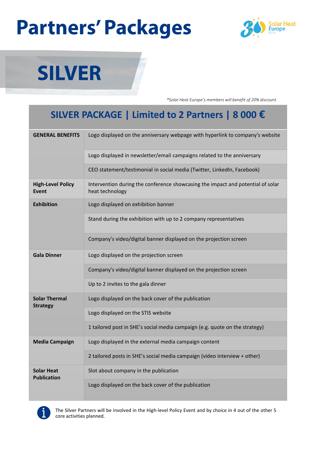# **Partners' Packages**





*\*Solar Heat Europe's members will benefit of 20% discount.*

#### **SILVER PACKAGE | Limited to 2 Partners | 8 000 €**

| <b>GENERAL BENEFITS</b>                 | Logo displayed on the anniversary webpage with hyperlink to company's website                      |
|-----------------------------------------|----------------------------------------------------------------------------------------------------|
|                                         | Logo displayed in newsletter/email campaigns related to the anniversary                            |
|                                         | CEO statement/testimonial in social media (Twitter, LinkedIn, Facebook)                            |
| <b>High-Level Policy</b><br>Event       | Intervention during the conference showcasing the impact and potential of solar<br>heat technology |
| <b>Exhibition</b>                       | Logo displayed on exhibition banner                                                                |
|                                         | Stand during the exhibition with up to 2 company representatives                                   |
|                                         | Company's video/digital banner displayed on the projection screen                                  |
| <b>Gala Dinner</b>                      | Logo displayed on the projection screen                                                            |
|                                         | Company's video/digital banner displayed on the projection screen                                  |
|                                         | Up to 2 invites to the gala dinner                                                                 |
| <b>Solar Thermal</b><br><b>Strategy</b> | Logo displayed on the back cover of the publication                                                |
|                                         | Logo displayed on the STIS website                                                                 |
|                                         | 1 tailored post in SHE's social media campaign (e.g. quote on the strategy)                        |
| <b>Media Campaign</b>                   | Logo displayed in the external media campaign content                                              |
|                                         | 2 tailored posts in SHE's social media campaign (video interview + other)                          |
| <b>Solar Heat</b><br><b>Publication</b> | Slot about company in the publication                                                              |
|                                         | Logo displayed on the back cover of the publication                                                |



The Silver Partners will be involved in the High-level Policy Event and by choice in 4 out of the other 5 core activities planned.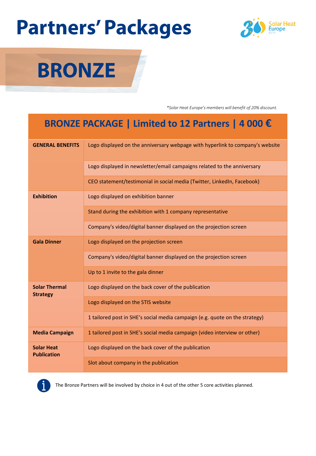# **Partners' Packages**





*\*Solar Heat Europe's members will benefit of 20% discount.*

#### **BRONZE PACKAGE | Limited to 12 Partners | 4 000 €**

| <b>GENERAL BENEFITS</b>                 | Logo displayed on the anniversary webpage with hyperlink to company's website |
|-----------------------------------------|-------------------------------------------------------------------------------|
|                                         | Logo displayed in newsletter/email campaigns related to the anniversary       |
|                                         | CEO statement/testimonial in social media (Twitter, LinkedIn, Facebook)       |
| <b>Exhibition</b>                       | Logo displayed on exhibition banner                                           |
|                                         | Stand during the exhibition with 1 company representative                     |
|                                         | Company's video/digital banner displayed on the projection screen             |
| <b>Gala Dinner</b>                      | Logo displayed on the projection screen                                       |
|                                         | Company's video/digital banner displayed on the projection screen             |
|                                         | Up to 1 invite to the gala dinner                                             |
| <b>Solar Thermal</b><br><b>Strategy</b> | Logo displayed on the back cover of the publication                           |
|                                         | Logo displayed on the STIS website                                            |
|                                         | 1 tailored post in SHE's social media campaign (e.g. quote on the strategy)   |
| <b>Media Campaign</b>                   | 1 tailored post in SHE's social media campaign (video interview or other)     |
| <b>Solar Heat</b><br><b>Publication</b> | Logo displayed on the back cover of the publication                           |
|                                         | Slot about company in the publication                                         |



The Bronze Partners will be involved by choice in 4 out of the other 5 core activities planned.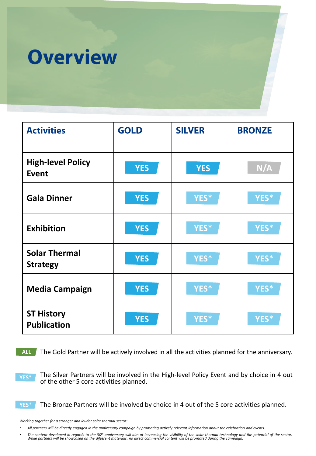

| <b>Activities</b>                        | <b>GOLD</b> | <b>SILVER</b> | <b>BRONZE</b> |
|------------------------------------------|-------------|---------------|---------------|
| <b>High-level Policy</b><br><b>Event</b> | <b>YES</b>  | <b>YES</b>    | N/A           |
| <b>Gala Dinner</b>                       | <b>YES</b>  | YES*          | YES*          |
| <b>Exhibition</b>                        | <b>YES</b>  | YES*          | YES*          |
| <b>Solar Thermal</b><br><b>Strategy</b>  | <b>YES</b>  | YES*          | YES*          |
| <b>Media Campaign</b>                    | <b>YES</b>  | YES*          | YES*          |
| <b>ST History</b><br><b>Publication</b>  | <b>YES</b>  | YES*          | YES*          |

The Gold Partner will be actively involved in all the activities planned for the anniversary. **ALL**

**YES**\*

The Silver Partners will be involved in the High-level Policy Event and by choice in 4 out of the other 5 core activities planned.

**YES**\*

The Bronze Partners will be involved by choice in 4 out of the 5 core activities planned.

*Working together for a stronger and louder solar thermal sector:*

• The content developed in regards to the 30<sup>th</sup> anniversary will aim at increasing the visibility of the solar thermal technology and the potential of the sector.<br>While partners will be showcased on the different material

All partners will be directly engaged in the anniversary campaign by promoting actively relevant information about the celebration and events.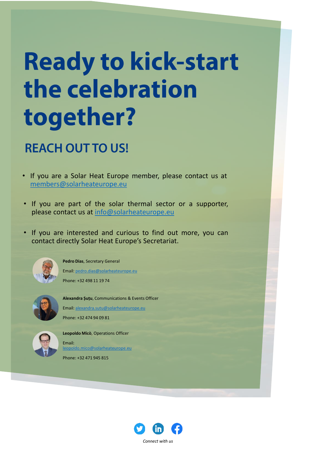# **Ready to kick-start** the celebration together?

### **REACH OUT TO US!**

- If you are a Solar Heat Europe member, please contact us at [members@solarheateurope.eu](mailto:members@solarheateurope.eu)
- If you are part of the solar thermal sector or a supporter, please contact us at [info@solarheateurope.eu](mailto:info@solarheateurope.eu)
- If you are interested and curious to find out more, you can contact directly Solar Heat Europe's Secretariat.



**Pedro Dias**, Secretary General Email: [pedro.dias@solarheateurope.eu](mailto:pedro.dias@solarheateurope.eu)

Phone: +32 498 11 19 74



**Alexandra Șuțu**, Communications & Events Officer Email: [alexandra.sutu@solarheateurope.eu](mailto:alexandra.sutu@solarheateurope.eu) Phone: +32 474 94 09 81



**Leopoldo Micò**, Operations Officer Email: [leopoldo.mico@solarheateurope.eu](mailto:leopoldo.mico@solarheateurope.eu)

Phone: +32 471 945 815